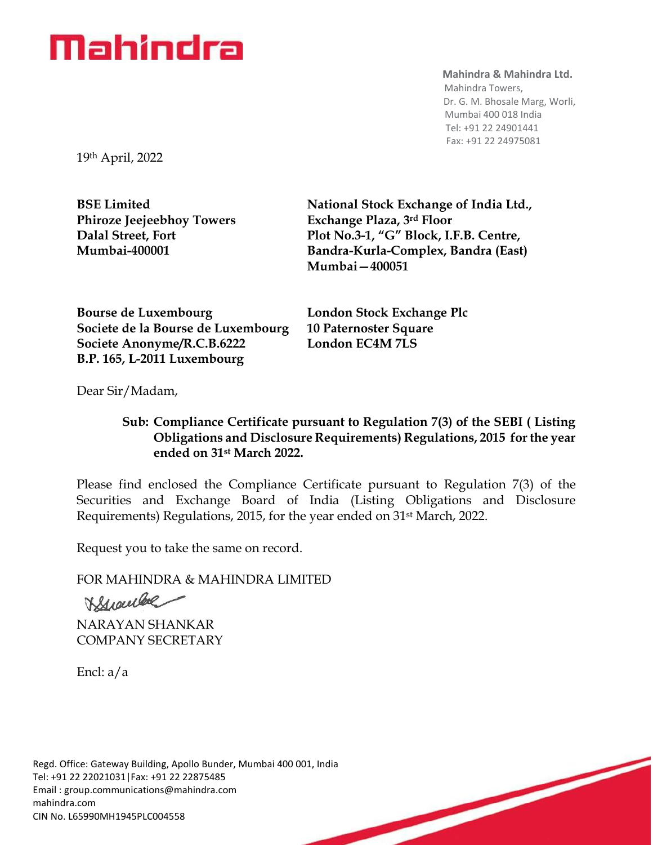## Mahindra

## **Mahindra & Mahindra Ltd.**

 Mahindra Towers, Dr. G. M. Bhosale Marg, Worli, Mumbai 400 018 India Tel: +91 22 24901441 Fax: +91 22 24975081

19th April, 2022

**Phiroze Jeejeebhoy Towers Exchange Plaza, 3rd Floor**

**BSE Limited National Stock Exchange of India Ltd., Dalal Street, Fort Plot No.3-1, "G" Block, I.F.B. Centre, Mumbai-400001 Bandra-Kurla-Complex, Bandra (East) Mumbai—400051**

**Bourse de Luxembourg London Stock Exchange Plc Societe de la Bourse de Luxembourg 10 Paternoster Square Societe Anonyme/R.C.B.6222 London EC4M 7LS B.P. 165, L-2011 Luxembourg**

Dear Sir/Madam,

## **Sub: Compliance Certificate pursuant to Regulation 7(3) of the SEBI ( Listing Obligations and Disclosure Requirements) Regulations, 2015 for the year ended on 31st March 2022.**

Please find enclosed the Compliance Certificate pursuant to Regulation 7(3) of the Securities and Exchange Board of India (Listing Obligations and Disclosure Requirements) Regulations, 2015, for the year ended on 31st March, 2022.

Request you to take the same on record.

FOR MAHINDRA & MAHINDRA LIMITED

Branche

NARAYAN SHANKAR COMPANY SECRETARY

Encl: a/a